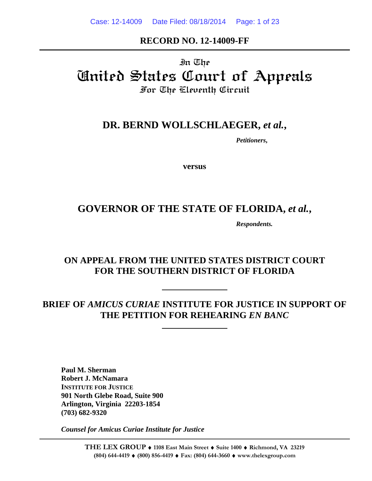#### **RECORD NO. 12-14009-FF**

# In The United States Court of Appeals For The Eleventh Circuit

## **DR. BERND WOLLSCHLAEGER,** *et al.***,**

*Petitioners***,** 

**versus** 

# GOVERNOR OF THE STATE OF FLORIDA, et al.,

*Respondents.* 

## **ON APPEAL FROM THE UNITED STATES DISTRICT COURT FOR THE SOUTHERN DISTRICT OF FLORIDA**

# **BRIEF OF** *AMICUS CURIAE* **INSTITUTE FOR JUSTICE IN SUPPORT OF THE PETITION FOR REHEARING** *EN BANC*

**Paul M. Sherman Robert J. McNamara INSTITUTE FOR JUSTICE 901 North Glebe Road, Suite 900 Arlington, Virginia 22203-1854 (703) 682-9320** 

 *Counsel for Amicus Curiae Institute for Justice*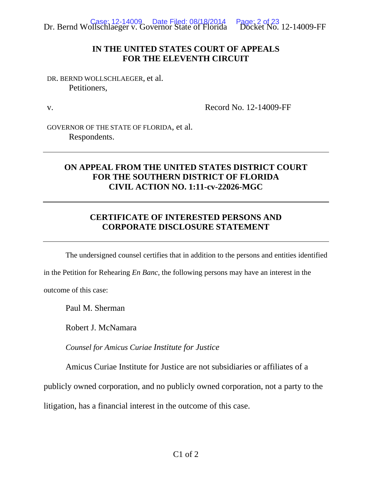

#### **IN THE UNITED STATES COURT OF APPEALS FOR THE ELEVENTH CIRCUIT**

DR. BERND WOLLSCHLAEGER, et al. Petitioners,

v.

Record No. 12-14009-FF

GOVERNOR OF THE STATE OF FLORIDA, et al. Respondents.

### **ON APPEAL FROM THE UNITED STATES DISTRICT COURT FOR THE SOUTHERN DISTRICT OF FLORIDA CIVIL ACTION NO. 1:11-cv-22026-MGC**

#### **CERTIFICATE OF INTERESTED PERSONS AND CORPORATE DISCLOSURE STATEMENT**

The undersigned counsel certifies that in addition to the persons and entities identified

in the Petition for Rehearing *En Banc*, the following persons may have an interest in the

outcome of this case:

Paul M. Sherman

Robert J. McNamara

*Counsel for Amicus Curiae Institute for Justice*

Amicus Curiae Institute for Justice are not subsidiaries or affiliates of a

publicly owned corporation, and no publicly owned corporation, not a party to the

litigation, has a financial interest in the outcome of this case.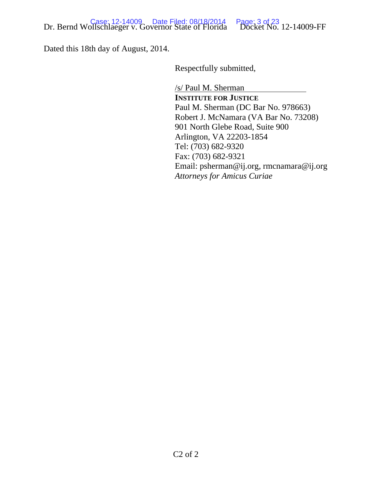Dated this 18th day of August, 2014.

Respectfully submitted,

/s/ Paul M. Sherman **INSTITUTE FOR JUSTICE** Paul M. Sherman (DC Bar No. 978663) Robert J. McNamara (VA Bar No. 73208) 901 North Glebe Road, Suite 900 Arlington, VA 22203-1854 Tel: (703) 682-9320 Fax: (703) 682-9321 Email: psherman@ij.org, rmcnamara@ij.org *Attorneys for Amicus Curiae*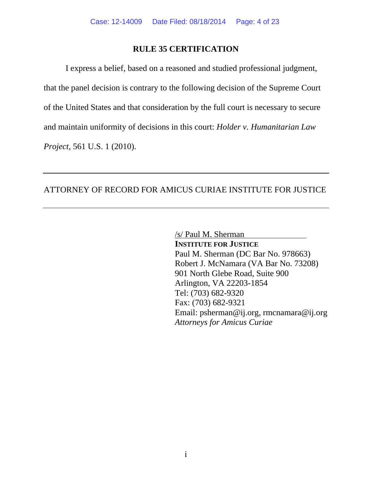#### **RULE 35 CERTIFICATION**

 I express a belief, based on a reasoned and studied professional judgment, that the panel decision is contrary to the following decision of the Supreme Court of the United States and that consideration by the full court is necessary to secure and maintain uniformity of decisions in this court: *Holder v. Humanitarian Law Project*, 561 U.S. 1 (2010).

#### ATTORNEY OF RECORD FOR AMICUS CURIAE INSTITUTE FOR JUSTICE

/s/ Paul M. Sherman **INSTITUTE FOR JUSTICE** Paul M. Sherman (DC Bar No. 978663) Robert J. McNamara (VA Bar No. 73208) 901 North Glebe Road, Suite 900 Arlington, VA 22203-1854 Tel: (703) 682-9320 Fax: (703) 682-9321 Email: psherman@ij.org, rmcnamara@ij.org *Attorneys for Amicus Curiae*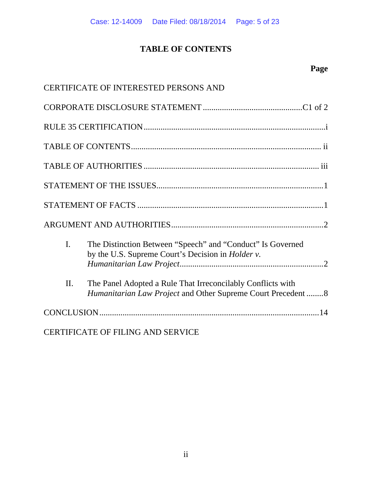## **TABLE OF CONTENTS**

# **Page**

|                | CERTIFICATE OF INTERESTED PERSONS AND                                                                                      |
|----------------|----------------------------------------------------------------------------------------------------------------------------|
|                |                                                                                                                            |
|                |                                                                                                                            |
|                |                                                                                                                            |
|                |                                                                                                                            |
|                |                                                                                                                            |
|                |                                                                                                                            |
|                |                                                                                                                            |
| $\mathbf{I}$ . | The Distinction Between "Speech" and "Conduct" Is Governed<br>by the U.S. Supreme Court's Decision in <i>Holder v</i> .    |
| II.            | The Panel Adopted a Rule That Irreconcilably Conflicts with<br>Humanitarian Law Project and Other Supreme Court Precedent8 |
|                |                                                                                                                            |

CERTIFICATE OF FILING AND SERVICE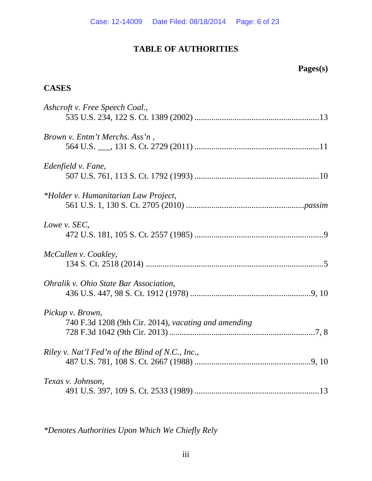## **TABLE OF AUTHORITIES**

# **Pages(s)**

#### **CASES**

| Ashcroft v. Free Speech Coal.,                       |
|------------------------------------------------------|
| <i>Brown v. Entm't Merchs. Ass'n</i> ,               |
| Edenfield v. Fane,                                   |
| *Holder v. Humanitarian Law Project,                 |
| Lowe v. SEC,                                         |
| McCullen v. Coakley,                                 |
| Ohralik v. Ohio State Bar Association,               |
| Pickup v. Brown,                                     |
| 740 F.3d 1208 (9th Cir. 2014), vacating and amending |
| Riley v. Nat'l Fed'n of the Blind of N.C., Inc.,     |
| Texas v. Johnson,                                    |

*\*Denotes Authorities Upon Which We Chiefly Rely*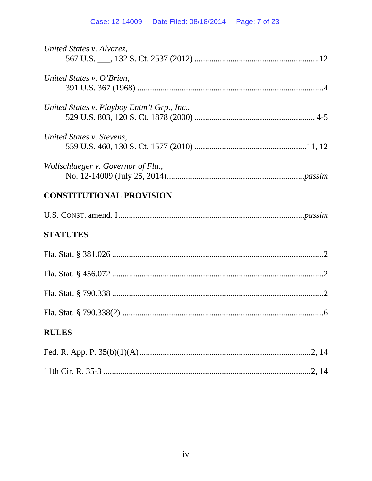# Case: 12-14009 Date Filed: 08/18/2014 Page: 7 of 23

| United States v. Alvarez,                   |
|---------------------------------------------|
| United States v. O'Brien,                   |
| United States v. Playboy Entm't Grp., Inc., |
| United States v. Stevens,                   |
| Wollschlaeger v. Governor of Fla.,          |
| <b>CONSTITUTIONAL PROVISION</b>             |
|                                             |
| <b>STATUTES</b>                             |
|                                             |
|                                             |
|                                             |
|                                             |
| <b>RULES</b>                                |
|                                             |
|                                             |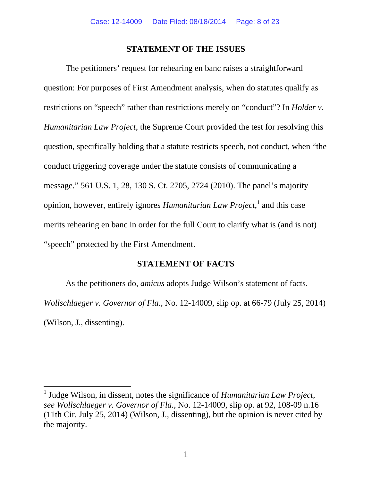#### **STATEMENT OF THE ISSUES**

 The petitioners' request for rehearing en banc raises a straightforward question: For purposes of First Amendment analysis, when do statutes qualify as restrictions on "speech" rather than restrictions merely on "conduct"? In *Holder v. Humanitarian Law Project*, the Supreme Court provided the test for resolving this question, specifically holding that a statute restricts speech, not conduct, when "the conduct triggering coverage under the statute consists of communicating a message." 561 U.S. 1, 28, 130 S. Ct. 2705, 2724 (2010). The panel's majority opinion, however, entirely ignores *Humanitarian Law Project*, 1 and this case merits rehearing en banc in order for the full Court to clarify what is (and is not) "speech" protected by the First Amendment.

#### **STATEMENT OF FACTS**

 As the petitioners do, *amicus* adopts Judge Wilson's statement of facts. *Wollschlaeger v. Governor of Fla.*, No. 12-14009, slip op. at 66-79 (July 25, 2014) (Wilson, J., dissenting).

<sup>&</sup>lt;sup>1</sup> Judge Wilson, in dissent, notes the significance of *Humanitarian Law Project*, *see Wollschlaeger v. Governor of Fla.*, No. 12-14009, slip op. at 92, 108-09 n.16 (11th Cir. July 25, 2014) (Wilson, J., dissenting), but the opinion is never cited by the majority.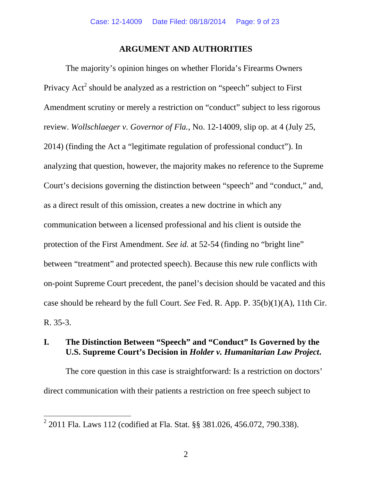#### **ARGUMENT AND AUTHORITIES**

 The majority's opinion hinges on whether Florida's Firearms Owners Privacy Act<sup>2</sup> should be analyzed as a restriction on "speech" subject to First Amendment scrutiny or merely a restriction on "conduct" subject to less rigorous review. *Wollschlaeger v. Governor of Fla.*, No. 12-14009, slip op. at 4 (July 25, 2014) (finding the Act a "legitimate regulation of professional conduct"). In analyzing that question, however, the majority makes no reference to the Supreme Court's decisions governing the distinction between "speech" and "conduct," and, as a direct result of this omission, creates a new doctrine in which any communication between a licensed professional and his client is outside the protection of the First Amendment. *See id.* at 52-54 (finding no "bright line" between "treatment" and protected speech). Because this new rule conflicts with on-point Supreme Court precedent, the panel's decision should be vacated and this case should be reheard by the full Court. *See* Fed. R. App. P. 35(b)(1)(A), 11th Cir. R. 35-3.

### **I. The Distinction Between "Speech" and "Conduct" Is Governed by the U.S. Supreme Court's Decision in** *Holder v. Humanitarian Law Project***.**

The core question in this case is straightforward: Is a restriction on doctors' direct communication with their patients a restriction on free speech subject to

 $2^{2}$  2011 Fla. Laws 112 (codified at Fla. Stat. §§ 381.026, 456.072, 790.338).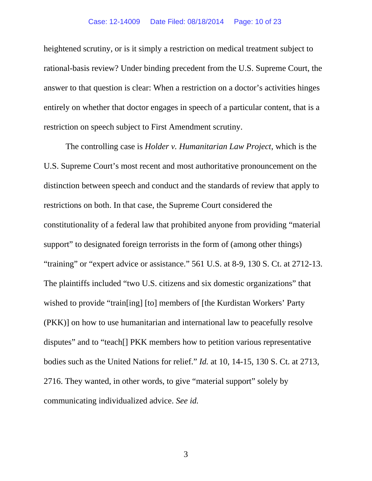heightened scrutiny, or is it simply a restriction on medical treatment subject to rational-basis review? Under binding precedent from the U.S. Supreme Court, the answer to that question is clear: When a restriction on a doctor's activities hinges entirely on whether that doctor engages in speech of a particular content, that is a restriction on speech subject to First Amendment scrutiny.

The controlling case is *Holder v. Humanitarian Law Project*, which is the U.S. Supreme Court's most recent and most authoritative pronouncement on the distinction between speech and conduct and the standards of review that apply to restrictions on both. In that case, the Supreme Court considered the constitutionality of a federal law that prohibited anyone from providing "material support" to designated foreign terrorists in the form of (among other things) "training" or "expert advice or assistance." 561 U.S. at 8-9, 130 S. Ct. at 2712-13. The plaintiffs included "two U.S. citizens and six domestic organizations" that wished to provide "train[ing] [to] members of [the Kurdistan Workers' Party (PKK)] on how to use humanitarian and international law to peacefully resolve disputes" and to "teach[] PKK members how to petition various representative bodies such as the United Nations for relief." *Id.* at 10, 14-15, 130 S. Ct. at 2713, 2716. They wanted, in other words, to give "material support" solely by communicating individualized advice. *See id.*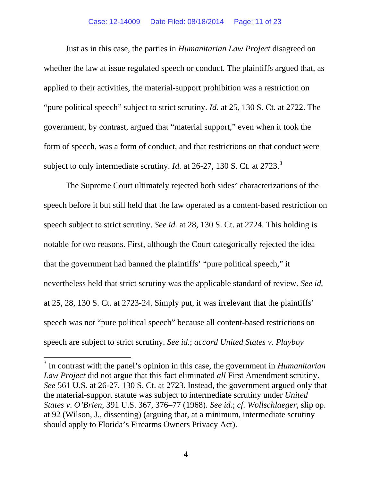Just as in this case, the parties in *Humanitarian Law Project* disagreed on whether the law at issue regulated speech or conduct. The plaintiffs argued that, as applied to their activities, the material-support prohibition was a restriction on "pure political speech" subject to strict scrutiny. *Id.* at 25, 130 S. Ct. at 2722. The government, by contrast, argued that "material support," even when it took the form of speech, was a form of conduct, and that restrictions on that conduct were subject to only intermediate scrutiny. *Id.* at 26-27, 130 S. Ct. at 2723.<sup>3</sup>

The Supreme Court ultimately rejected both sides' characterizations of the speech before it but still held that the law operated as a content-based restriction on speech subject to strict scrutiny. *See id.* at 28, 130 S. Ct. at 2724. This holding is notable for two reasons. First, although the Court categorically rejected the idea that the government had banned the plaintiffs' "pure political speech," it nevertheless held that strict scrutiny was the applicable standard of review. *See id.*  at 25, 28, 130 S. Ct. at 2723-24. Simply put, it was irrelevant that the plaintiffs' speech was not "pure political speech" because all content-based restrictions on speech are subject to strict scrutiny. *See id.*; *accord United States v. Playboy* 

<sup>3</sup> In contrast with the panel's opinion in this case, the government in *Humanitarian Law Project* did not argue that this fact eliminated *all* First Amendment scrutiny. *See* 561 U.S. at 26-27, 130 S. Ct. at 2723. Instead, the government argued only that the material-support statute was subject to intermediate scrutiny under *United States v*. *O'Brien*, 391 U.S. 367, 376–77 (1968). *See id.*; *cf. Wollschlaeger*, slip op. at 92 (Wilson, J., dissenting) (arguing that, at a minimum, intermediate scrutiny should apply to Florida's Firearms Owners Privacy Act).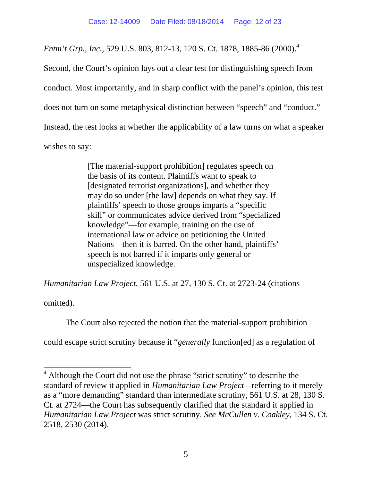*Entm't Grp., Inc.,* 529 U.S. 803, 812-13, 120 S. Ct. 1878, 1885-86 (2000).<sup>4</sup>

Second, the Court's opinion lays out a clear test for distinguishing speech from conduct. Most importantly, and in sharp conflict with the panel's opinion, this test does not turn on some metaphysical distinction between "speech" and "conduct." Instead, the test looks at whether the applicability of a law turns on what a speaker wishes to say:

> [The material-support prohibition] regulates speech on the basis of its content. Plaintiffs want to speak to [designated terrorist organizations], and whether they may do so under [the law] depends on what they say. If plaintiffs' speech to those groups imparts a "specific skill" or communicates advice derived from "specialized knowledge"—for example, training on the use of international law or advice on petitioning the United Nations—then it is barred. On the other hand, plaintiffs' speech is not barred if it imparts only general or unspecialized knowledge.

*Humanitarian Law Project*, 561 U.S. at 27, 130 S. Ct. at 2723-24 (citations

omitted).

The Court also rejected the notion that the material-support prohibition

could escape strict scrutiny because it "*generally* function[ed] as a regulation of

<sup>&</sup>lt;sup>4</sup> Although the Court did not use the phrase "strict scrutiny" to describe the standard of review it applied in *Humanitarian Law Project—*referring to it merely as a "more demanding" standard than intermediate scrutiny, 561 U.S. at 28, 130 S. Ct. at 2724—the Court has subsequently clarified that the standard it applied in *Humanitarian Law Project* was strict scrutiny. *See McCullen v. Coakley*, 134 S. Ct. 2518, 2530 (2014).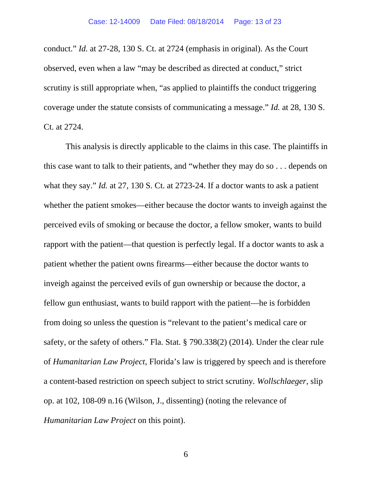conduct." *Id.* at 27-28, 130 S. Ct. at 2724 (emphasis in original). As the Court observed, even when a law "may be described as directed at conduct," strict scrutiny is still appropriate when, "as applied to plaintiffs the conduct triggering coverage under the statute consists of communicating a message." *Id.* at 28, 130 S. Ct. at 2724.

This analysis is directly applicable to the claims in this case. The plaintiffs in this case want to talk to their patients, and "whether they may do so . . . depends on what they say." *Id.* at 27, 130 S. Ct. at 2723-24. If a doctor wants to ask a patient whether the patient smokes—either because the doctor wants to inveigh against the perceived evils of smoking or because the doctor, a fellow smoker, wants to build rapport with the patient—that question is perfectly legal. If a doctor wants to ask a patient whether the patient owns firearms—either because the doctor wants to inveigh against the perceived evils of gun ownership or because the doctor, a fellow gun enthusiast, wants to build rapport with the patient—he is forbidden from doing so unless the question is "relevant to the patient's medical care or safety, or the safety of others." Fla. Stat. § 790.338(2) (2014). Under the clear rule of *Humanitarian Law Project*, Florida's law is triggered by speech and is therefore a content-based restriction on speech subject to strict scrutiny*. Wollschlaeger*, slip op. at 102, 108-09 n.16 (Wilson, J., dissenting) (noting the relevance of *Humanitarian Law Project* on this point).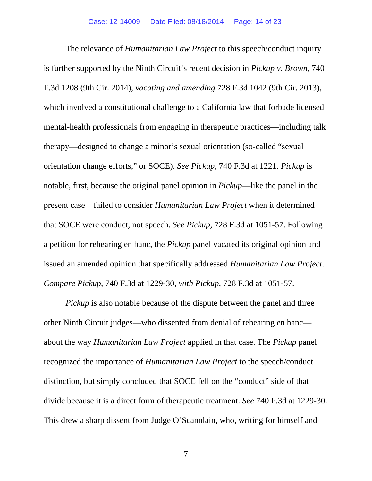The relevance of *Humanitarian Law Project* to this speech/conduct inquiry is further supported by the Ninth Circuit's recent decision in *Pickup v. Brown*, 740 F.3d 1208 (9th Cir. 2014), *vacating and amending* 728 F.3d 1042 (9th Cir. 2013), which involved a constitutional challenge to a California law that forbade licensed mental-health professionals from engaging in therapeutic practices—including talk therapy—designed to change a minor's sexual orientation (so-called "sexual orientation change efforts," or SOCE). *See Pickup*, 740 F.3d at 1221. *Pickup* is notable, first, because the original panel opinion in *Pickup*—like the panel in the present case—failed to consider *Humanitarian Law Project* when it determined that SOCE were conduct, not speech. *See Pickup*, 728 F.3d at 1051-57. Following a petition for rehearing en banc, the *Pickup* panel vacated its original opinion and issued an amended opinion that specifically addressed *Humanitarian Law Project*. *Compare Pickup*, 740 F.3d at 1229-30, *with Pickup*, 728 F.3d at 1051-57.

*Pickup* is also notable because of the dispute between the panel and three other Ninth Circuit judges—who dissented from denial of rehearing en banc about the way *Humanitarian Law Project* applied in that case. The *Pickup* panel recognized the importance of *Humanitarian Law Project* to the speech/conduct distinction, but simply concluded that SOCE fell on the "conduct" side of that divide because it is a direct form of therapeutic treatment. *See* 740 F.3d at 1229-30. This drew a sharp dissent from Judge O'Scannlain, who, writing for himself and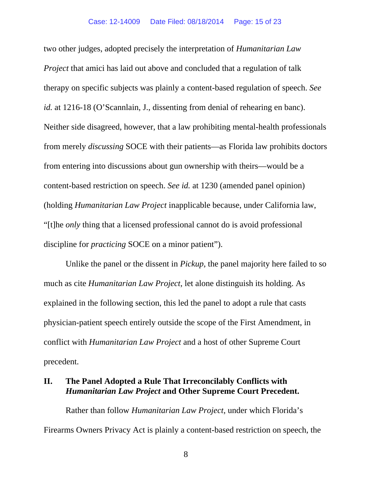two other judges, adopted precisely the interpretation of *Humanitarian Law Project* that amici has laid out above and concluded that a regulation of talk therapy on specific subjects was plainly a content-based regulation of speech. *See id.* at 1216-18 (O'Scannlain, J., dissenting from denial of rehearing en banc). Neither side disagreed, however, that a law prohibiting mental-health professionals from merely *discussing* SOCE with their patients—as Florida law prohibits doctors from entering into discussions about gun ownership with theirs—would be a content-based restriction on speech. *See id.* at 1230 (amended panel opinion) (holding *Humanitarian Law Project* inapplicable because, under California law, "[t]he *only* thing that a licensed professional cannot do is avoid professional discipline for *practicing* SOCE on a minor patient").

 Unlike the panel or the dissent in *Pickup*, the panel majority here failed to so much as cite *Humanitarian Law Project*, let alone distinguish its holding. As explained in the following section, this led the panel to adopt a rule that casts physician-patient speech entirely outside the scope of the First Amendment, in conflict with *Humanitarian Law Project* and a host of other Supreme Court precedent.

#### **II. The Panel Adopted a Rule That Irreconcilably Conflicts with**  *Humanitarian Law Project* **and Other Supreme Court Precedent.**

Rather than follow *Humanitarian Law Project*, under which Florida's Firearms Owners Privacy Act is plainly a content-based restriction on speech, the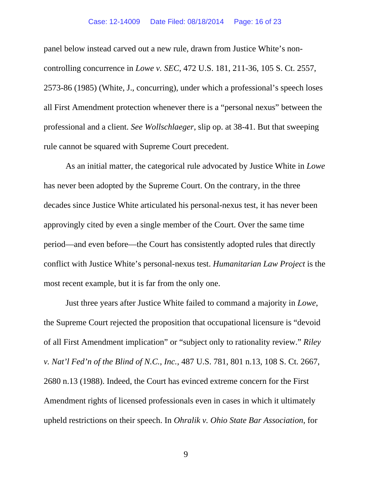panel below instead carved out a new rule, drawn from Justice White's noncontrolling concurrence in *Lowe v. SEC*, 472 U.S. 181, 211-36, 105 S. Ct. 2557, 2573-86 (1985) (White, J., concurring), under which a professional's speech loses all First Amendment protection whenever there is a "personal nexus" between the professional and a client. *See Wollschlaeger*, slip op. at 38-41. But that sweeping rule cannot be squared with Supreme Court precedent.

As an initial matter, the categorical rule advocated by Justice White in *Lowe* has never been adopted by the Supreme Court. On the contrary, in the three decades since Justice White articulated his personal-nexus test, it has never been approvingly cited by even a single member of the Court. Over the same time period—and even before—the Court has consistently adopted rules that directly conflict with Justice White's personal-nexus test. *Humanitarian Law Project* is the most recent example, but it is far from the only one.

Just three years after Justice White failed to command a majority in *Lowe*, the Supreme Court rejected the proposition that occupational licensure is "devoid of all First Amendment implication" or "subject only to rationality review." *Riley v. Nat'l Fed'n of the Blind of N.C.*, *Inc.*, 487 U.S. 781, 801 n.13, 108 S. Ct. 2667, 2680 n.13 (1988). Indeed, the Court has evinced extreme concern for the First Amendment rights of licensed professionals even in cases in which it ultimately upheld restrictions on their speech. In *Ohralik v. Ohio State Bar Association*, for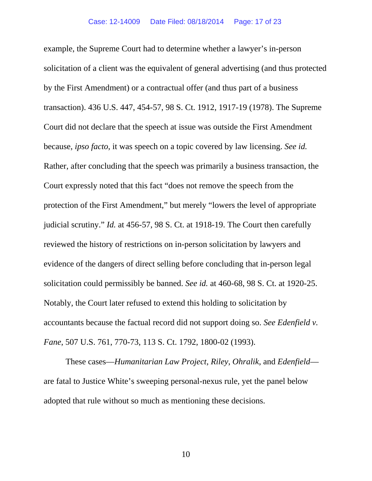example, the Supreme Court had to determine whether a lawyer's in-person solicitation of a client was the equivalent of general advertising (and thus protected by the First Amendment) or a contractual offer (and thus part of a business transaction). 436 U.S. 447, 454-57, 98 S. Ct. 1912, 1917-19 (1978). The Supreme Court did not declare that the speech at issue was outside the First Amendment because, *ipso facto*, it was speech on a topic covered by law licensing. *See id.* Rather, after concluding that the speech was primarily a business transaction, the Court expressly noted that this fact "does not remove the speech from the protection of the First Amendment," but merely "lowers the level of appropriate judicial scrutiny." *Id.* at 456-57, 98 S. Ct. at 1918-19. The Court then carefully reviewed the history of restrictions on in-person solicitation by lawyers and evidence of the dangers of direct selling before concluding that in-person legal solicitation could permissibly be banned. *See id.* at 460-68, 98 S. Ct. at 1920-25. Notably, the Court later refused to extend this holding to solicitation by accountants because the factual record did not support doing so. *See Edenfield v. Fane*, 507 U.S. 761, 770-73, 113 S. Ct. 1792, 1800-02 (1993).

These cases—*Humanitarian Law Project*, *Riley*, *Ohralik*, and *Edenfield* are fatal to Justice White's sweeping personal-nexus rule, yet the panel below adopted that rule without so much as mentioning these decisions.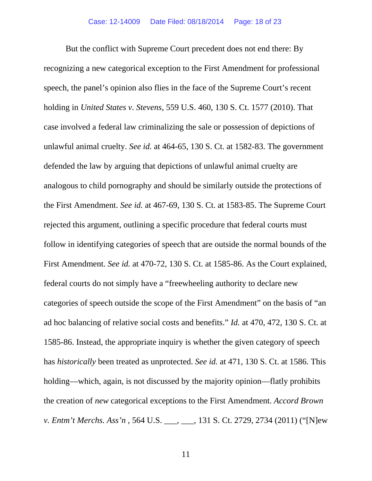But the conflict with Supreme Court precedent does not end there: By recognizing a new categorical exception to the First Amendment for professional speech, the panel's opinion also flies in the face of the Supreme Court's recent holding in *United States v. Stevens*, 559 U.S. 460, 130 S. Ct. 1577 (2010). That case involved a federal law criminalizing the sale or possession of depictions of unlawful animal cruelty. *See id.* at 464-65, 130 S. Ct. at 1582-83. The government defended the law by arguing that depictions of unlawful animal cruelty are analogous to child pornography and should be similarly outside the protections of the First Amendment. *See id.* at 467-69, 130 S. Ct. at 1583-85. The Supreme Court rejected this argument, outlining a specific procedure that federal courts must follow in identifying categories of speech that are outside the normal bounds of the First Amendment. *See id.* at 470-72, 130 S. Ct. at 1585-86. As the Court explained, federal courts do not simply have a "freewheeling authority to declare new categories of speech outside the scope of the First Amendment" on the basis of "an ad hoc balancing of relative social costs and benefits." *Id.* at 470, 472, 130 S. Ct. at 1585-86. Instead, the appropriate inquiry is whether the given category of speech has *historically* been treated as unprotected. *See id.* at 471, 130 S. Ct. at 1586. This holding—which, again, is not discussed by the majority opinion—flatly prohibits the creation of *new* categorical exceptions to the First Amendment. *Accord Brown v. Entm't Merchs. Ass'n* , 564 U.S. \_\_\_, \_\_\_, 131 S. Ct. 2729, 2734 (2011) ("[N]ew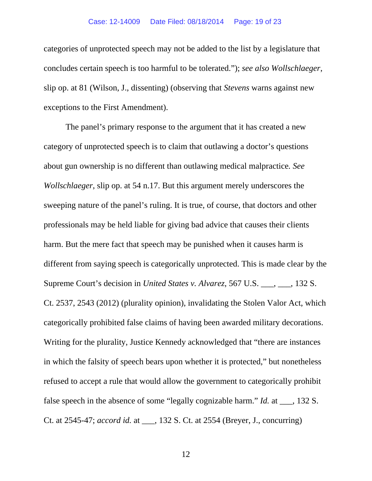categories of unprotected speech may not be added to the list by a legislature that concludes certain speech is too harmful to be tolerated."); *see also Wollschlaeger*, slip op. at 81 (Wilson, J., dissenting) (observing that *Stevens* warns against new exceptions to the First Amendment).

The panel's primary response to the argument that it has created a new category of unprotected speech is to claim that outlawing a doctor's questions about gun ownership is no different than outlawing medical malpractice*. See Wollschlaeger*, slip op. at 54 n.17. But this argument merely underscores the sweeping nature of the panel's ruling. It is true, of course, that doctors and other professionals may be held liable for giving bad advice that causes their clients harm. But the mere fact that speech may be punished when it causes harm is different from saying speech is categorically unprotected. This is made clear by the Supreme Court's decision in *United States v. Alvarez*, 567 U.S. \_\_\_, \_\_\_, 132 S. Ct. 2537, 2543 (2012) (plurality opinion), invalidating the Stolen Valor Act, which categorically prohibited false claims of having been awarded military decorations. Writing for the plurality, Justice Kennedy acknowledged that "there are instances in which the falsity of speech bears upon whether it is protected," but nonetheless refused to accept a rule that would allow the government to categorically prohibit false speech in the absence of some "legally cognizable harm." *Id.* at  $\qquad$ , 132 S. Ct. at 2545-47; *accord id.* at \_\_\_, 132 S. Ct. at 2554 (Breyer, J., concurring)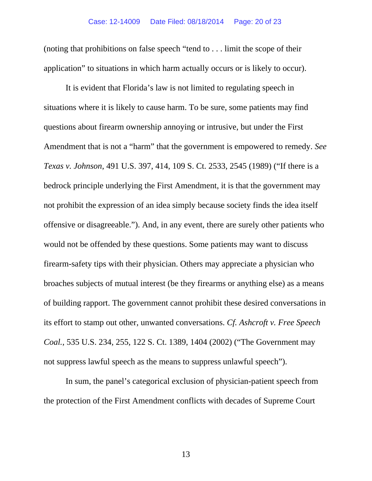(noting that prohibitions on false speech "tend to . . . limit the scope of their application" to situations in which harm actually occurs or is likely to occur).

It is evident that Florida's law is not limited to regulating speech in situations where it is likely to cause harm. To be sure, some patients may find questions about firearm ownership annoying or intrusive, but under the First Amendment that is not a "harm" that the government is empowered to remedy. *See Texas v. Johnson*, 491 U.S. 397, 414, 109 S. Ct. 2533, 2545 (1989) ("If there is a bedrock principle underlying the First Amendment, it is that the government may not prohibit the expression of an idea simply because society finds the idea itself offensive or disagreeable."). And, in any event, there are surely other patients who would not be offended by these questions. Some patients may want to discuss firearm-safety tips with their physician. Others may appreciate a physician who broaches subjects of mutual interest (be they firearms or anything else) as a means of building rapport. The government cannot prohibit these desired conversations in its effort to stamp out other, unwanted conversations. *Cf. Ashcroft v. Free Speech Coal.*, 535 U.S. 234, 255, 122 S. Ct. 1389, 1404 (2002) ("The Government may not suppress lawful speech as the means to suppress unlawful speech").

In sum, the panel's categorical exclusion of physician-patient speech from the protection of the First Amendment conflicts with decades of Supreme Court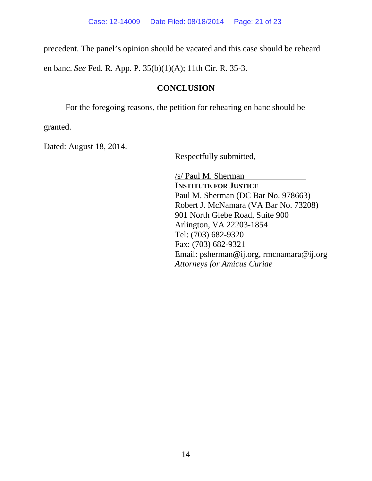precedent. The panel's opinion should be vacated and this case should be reheard

en banc. *See* Fed. R. App. P. 35(b)(1)(A); 11th Cir. R. 35-3.

### **CONCLUSION**

For the foregoing reasons, the petition for rehearing en banc should be

granted.

Dated: August 18, 2014.

Respectfully submitted,

/s/ Paul M. Sherman **INSTITUTE FOR JUSTICE** Paul M. Sherman (DC Bar No. 978663) Robert J. McNamara (VA Bar No. 73208) 901 North Glebe Road, Suite 900 Arlington, VA 22203-1854 Tel: (703) 682-9320 Fax: (703) 682-9321 Email: psherman@ij.org, rmcnamara@ij.org *Attorneys for Amicus Curiae*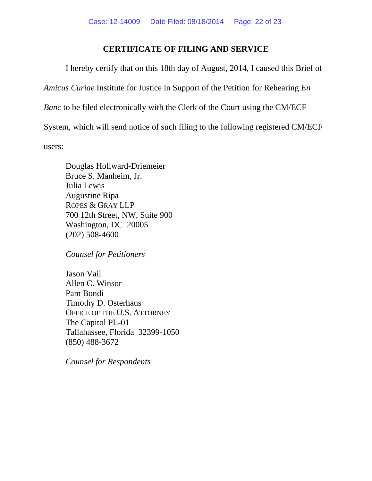### **CERTIFICATE OF FILING AND SERVICE**

I hereby certify that on this 18th day of August, 2014, I caused this Brief of *Amicus Curiae* Institute for Justice in Support of the Petition for Rehearing *En Banc* to be filed electronically with the Clerk of the Court using the CM/ECF System, which will send notice of such filing to the following registered CM/ECF users:

Douglas Hollward-Driemeier Bruce S. Manheim, Jr. Julia Lewis Augustine Ripa ROPES & GRAY LLP 700 12th Street, NW, Suite 900 Washington, DC 20005 (202) 508-4600

*Counsel for Petitioners* 

Jason Vail Allen C. Winsor Pam Bondi Timothy D. Osterhaus OFFICE OF THE U.S. ATTORNEY The Capitol PL-01 Tallahassee, Florida 32399-1050 (850) 488-3672

*Counsel for Respondents*